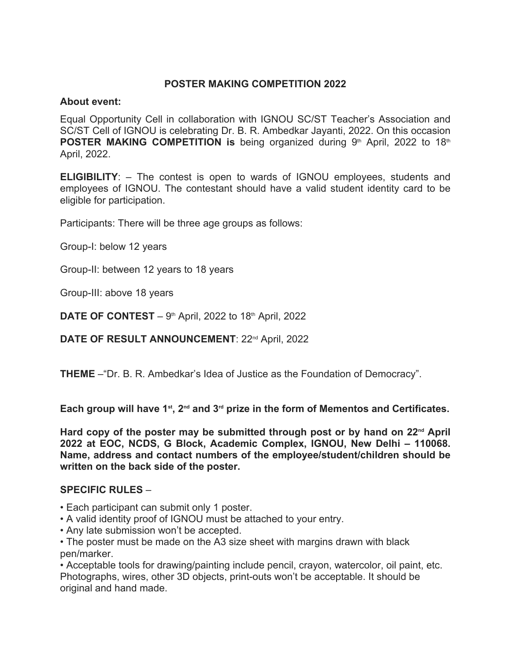## **POSTER MAKING COMPETITION 2022**

## **About event:**

Equal Opportunity Cell in collaboration with IGNOU SC/ST Teacher's Association and SC/ST Cell of IGNOU is celebrating Dr. B. R. Ambedkar Jayanti, 2022. On this occasion **POSTER MAKING COMPETITION is being organized during 9<sup>th</sup> April, 2022 to 18<sup>th</sup>** April, 2022.

**ELIGIBILITY:** – The contest is open to wards of IGNOU employees, students and employees of IGNOU. The contestant should have a valid student identity card to be eligible for participation.

Participants: There will be three age groups as follows:

Group-I: below 12 years

Group-II: between 12 years to 18 years

Group-III: above 18 years

**DATE OF CONTEST** –  $9<sup>th</sup>$  April, 2022 to 18<sup>th</sup> April, 2022

**DATE OF RESULT ANNOUNCEMENT: 22<sup>nd</sup> April, 2022** 

**THEME** –"Dr. B. R. Ambedkar's Idea of Justice as the Foundation of Democracy".

**Each group will have 1st, 2nd and 3rd prize in the form of Mementos and Certificates.**

**Hard copy of the poster may be submitted through post or by hand on 22nd April 2022 at EOC, NCDS, G Block, Academic Complex, IGNOU, New Delhi – 110068. Name, address and contact numbers of the employee/student/children should be written on the back side of the poster.**

## **SPECIFIC RULES** –

- Each participant can submit only 1 poster.
- A valid identity proof of IGNOU must be attached to your entry.
- Any late submission won't be accepted.

• The poster must be made on the A3 size sheet with margins drawn with black pen/marker.

• Acceptable tools for drawing/painting include pencil, crayon, watercolor, oil paint, etc. Photographs, wires, other 3D objects, print-outs won't be acceptable. It should be original and hand made.